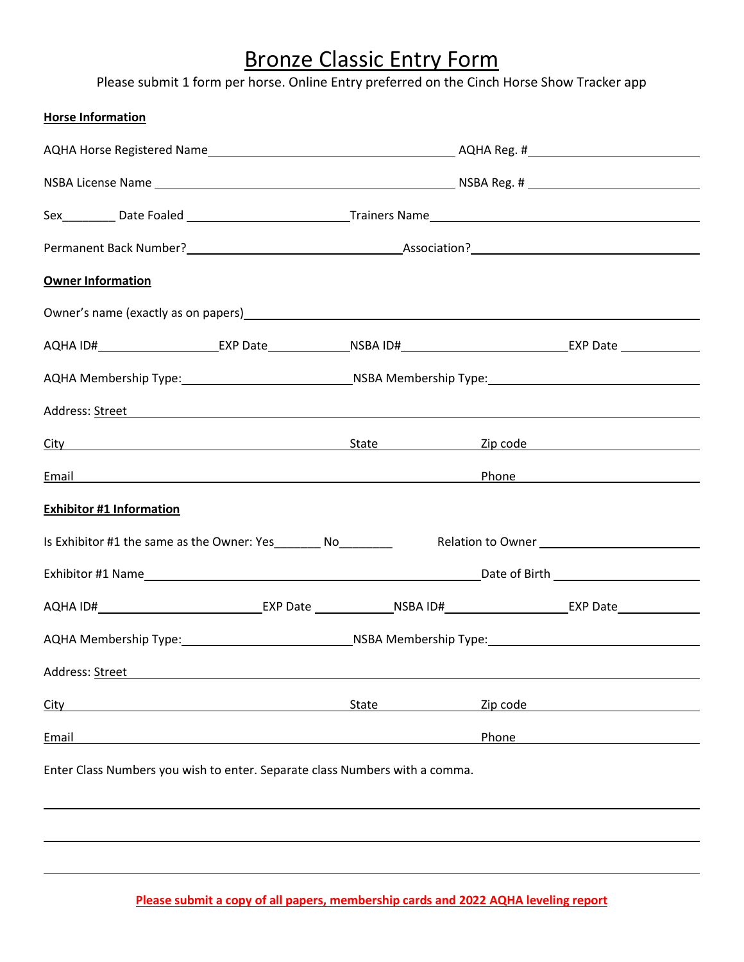## Bronze Classic Entry Form

Please submit 1 form per horse. Online Entry preferred on the Cinch Horse Show Tracker app

| <b>Horse Information</b>                                                                                                                                                                                                             |       |          |                        |
|--------------------------------------------------------------------------------------------------------------------------------------------------------------------------------------------------------------------------------------|-------|----------|------------------------|
|                                                                                                                                                                                                                                      |       |          |                        |
|                                                                                                                                                                                                                                      |       |          |                        |
|                                                                                                                                                                                                                                      |       |          |                        |
|                                                                                                                                                                                                                                      |       |          |                        |
| <b>Owner Information</b>                                                                                                                                                                                                             |       |          |                        |
| Owner's name (exactly as on papers) Manual Community of the Community of the Community of the Community of the                                                                                                                       |       |          |                        |
| AQHA ID#_________________________EXP Date_______________NSBA ID#___________________________________EXP Date _______________                                                                                                          |       |          |                        |
| AQHA Membership Type:___________________________________NSBA Membership Type:________________________________                                                                                                                        |       |          |                        |
| Address: <u>Street</u> Address: Account Address: Address: Address: Address: Address: Address: Address: Address: Address: Address: Address: Address: Address: Address: Address: Address: Address: Address: Address: Address: Address  |       |          |                        |
| <u>City and State State State Sip code</u> and State State Sip code and Sip code and State Sip control of the State Sip Code and State State State State State State State State State State State State State State State State St  |       |          |                        |
| Email <b>Exercise Contract Contract Contract Contract Contract Contract Contract Contract Contract Contract Contract Contract Contract Contract Contract Contract Contract Contract Contract Contract Contract Contract Contract</b> |       |          | Phone <u>contracts</u> |
| <b>Exhibitor #1 Information</b>                                                                                                                                                                                                      |       |          |                        |
| Is Exhibitor #1 the same as the Owner: Yes__________ No_________                                                                                                                                                                     |       |          |                        |
|                                                                                                                                                                                                                                      |       |          |                        |
|                                                                                                                                                                                                                                      |       |          |                        |
| AQHA Membership Type:_________________________________NSBA Membership Type:__________________________________                                                                                                                        |       |          |                        |
| Address: Street                                                                                                                                                                                                                      |       |          |                        |
| City                                                                                                                                                                                                                                 | State | Zip code |                        |
| Email                                                                                                                                                                                                                                |       | Phone    |                        |
| Enter Class Numbers you wish to enter. Separate class Numbers with a comma.                                                                                                                                                          |       |          |                        |
|                                                                                                                                                                                                                                      |       |          |                        |
|                                                                                                                                                                                                                                      |       |          |                        |

**Please submit a copy of all papers, membership cards and 2022 AQHA leveling report**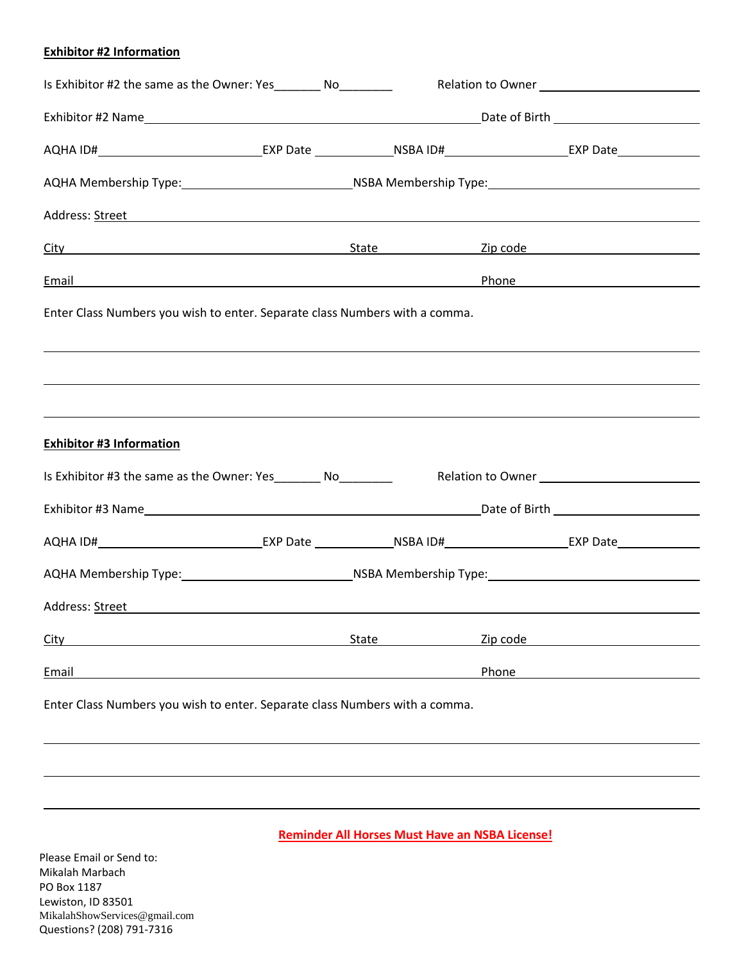## **Exhibitor #2 Information**

| Is Exhibitor #2 the same as the Owner: Yes__________ No_________                                                                                                                                                                     |                                                                                                                |       |          |                                             |  |
|--------------------------------------------------------------------------------------------------------------------------------------------------------------------------------------------------------------------------------------|----------------------------------------------------------------------------------------------------------------|-------|----------|---------------------------------------------|--|
|                                                                                                                                                                                                                                      |                                                                                                                |       |          |                                             |  |
| AQHA ID#________________________________EXP Date _______________NSBA ID#____________________________EXP Date ______________                                                                                                          |                                                                                                                |       |          |                                             |  |
|                                                                                                                                                                                                                                      |                                                                                                                |       |          |                                             |  |
| Address: <u>Street examples</u> and the street example of the street example of the street example of the street example of the street example of the street example of the street example of the street example of the street exam  |                                                                                                                |       |          |                                             |  |
| City City Contract City Contract City Contract City Contract City Contract City Contract City Contract City Contract City Contract City Contract City Contract City Contract City Contract City Contract City Contract City Co       |                                                                                                                |       |          |                                             |  |
| Email <b>Exercise Contract Contract Contract Contract Contract Contract Contract Contract Contract Contract Contract Contract Contract Contract Contract Contract Contract Contract Contract Contract Contract Contract Contract</b> |                                                                                                                |       |          |                                             |  |
| Enter Class Numbers you wish to enter. Separate class Numbers with a comma.                                                                                                                                                          |                                                                                                                |       |          |                                             |  |
| <u> 1989 - An Dùbhlachd ann an Dùbhlachd ann an Dùbhlachd ann an Dùbhlachd ann an Dùbhlachd ann an Dùbhlachd ann a</u><br><b>Exhibitor #3 Information</b>                                                                            |                                                                                                                |       |          |                                             |  |
| Is Exhibitor #3 the same as the Owner: Yes_________ No_________                                                                                                                                                                      |                                                                                                                |       |          | Relation to Owner<br><u>Letter</u> <u> </u> |  |
|                                                                                                                                                                                                                                      |                                                                                                                |       |          |                                             |  |
| AQHA ID#________________________________EXP Date _______________NSBA ID#____________________________EXP Date ______________                                                                                                          |                                                                                                                |       |          |                                             |  |
|                                                                                                                                                                                                                                      | AQHA Membership Type:___________________________________NSBA Membership Type:_________________________________ |       |          |                                             |  |
| Address: Street                                                                                                                                                                                                                      | <u> 1980 - Andrea Andrew Maria (h. 1980).</u>                                                                  |       |          |                                             |  |
| City                                                                                                                                                                                                                                 |                                                                                                                | State | Zip code |                                             |  |
| Email                                                                                                                                                                                                                                |                                                                                                                |       | Phone    |                                             |  |
| Enter Class Numbers you wish to enter. Separate class Numbers with a comma.                                                                                                                                                          |                                                                                                                |       |          |                                             |  |
|                                                                                                                                                                                                                                      |                                                                                                                |       |          |                                             |  |
|                                                                                                                                                                                                                                      |                                                                                                                |       |          |                                             |  |
|                                                                                                                                                                                                                                      |                                                                                                                |       |          |                                             |  |

Please Email or Send to: Mikalah Marbach PO Box 1187 Lewiston, ID 83501 MikalahShowServices@gmail.com Questions? (208) 791-7316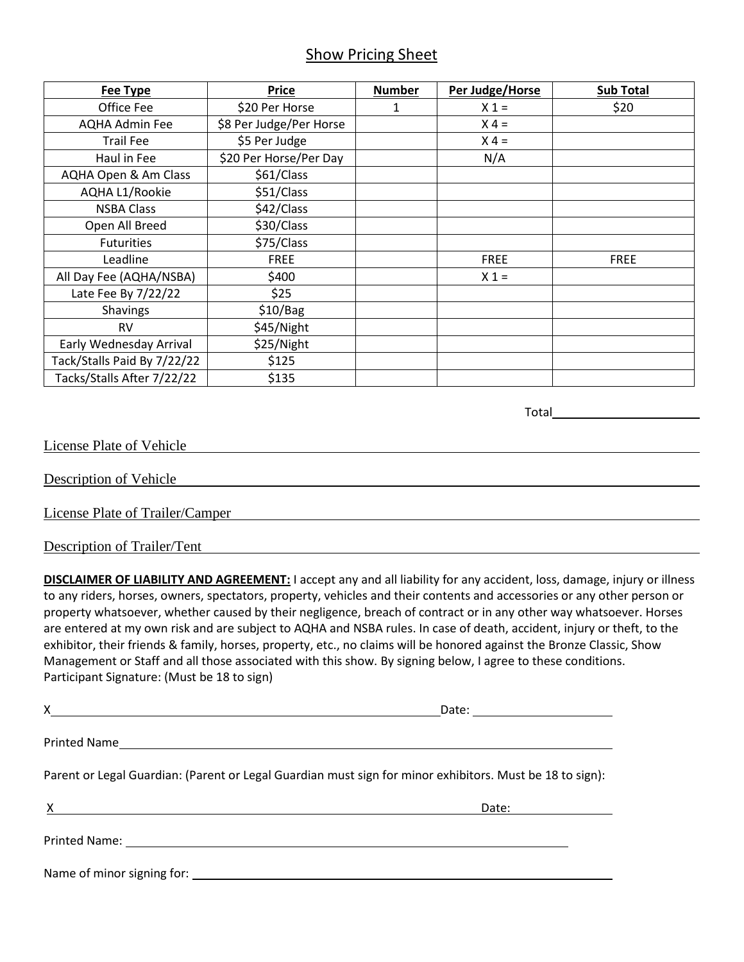## Show Pricing Sheet

| Fee Type                    | Price                   | <b>Number</b> | Per Judge/Horse | <b>Sub Total</b> |
|-----------------------------|-------------------------|---------------|-----------------|------------------|
| Office Fee                  | \$20 Per Horse          | 1             | $X_1 =$         | \$20             |
| <b>AQHA Admin Fee</b>       | \$8 Per Judge/Per Horse |               | $X 4 =$         |                  |
| <b>Trail Fee</b>            | \$5 Per Judge           |               | $X 4 =$         |                  |
| Haul in Fee                 | \$20 Per Horse/Per Day  |               | N/A             |                  |
| AQHA Open & Am Class        | \$61/Class              |               |                 |                  |
| AQHA L1/Rookie              | \$51/Class              |               |                 |                  |
| <b>NSBA Class</b>           | \$42/Class              |               |                 |                  |
| Open All Breed              | \$30/Class              |               |                 |                  |
| <b>Futurities</b>           | \$75/Class              |               |                 |                  |
| Leadline                    | <b>FREE</b>             |               | <b>FREE</b>     | <b>FREE</b>      |
| All Day Fee (AQHA/NSBA)     | \$400                   |               | $X 1 =$         |                  |
| Late Fee By 7/22/22         | \$25                    |               |                 |                  |
| <b>Shavings</b>             | \$10/Bag                |               |                 |                  |
| <b>RV</b>                   | \$45/Night              |               |                 |                  |
| Early Wednesday Arrival     | \$25/Night              |               |                 |                  |
| Tack/Stalls Paid By 7/22/22 | \$125                   |               |                 |                  |
| Tacks/Stalls After 7/22/22  | \$135                   |               |                 |                  |

Total

License Plate of Vehicle

Description of Vehicle

License Plate of Trailer/Camper

Description of Trailer/Tent

**DISCLAIMER OF LIABILITY AND AGREEMENT:** I accept any and all liability for any accident, loss, damage, injury or illness to any riders, horses, owners, spectators, property, vehicles and their contents and accessories or any other person or property whatsoever, whether caused by their negligence, breach of contract or in any other way whatsoever. Horses are entered at my own risk and are subject to AQHA and NSBA rules. In case of death, accident, injury or theft, to the exhibitor, their friends & family, horses, property, etc., no claims will be honored against the Bronze Classic, Show Management or Staff and all those associated with this show. By signing below, I agree to these conditions. Participant Signature: (Must be 18 to sign)

| $X \longrightarrow$                                                                                                                                                                                                                                                            | Date: ________________________ |
|--------------------------------------------------------------------------------------------------------------------------------------------------------------------------------------------------------------------------------------------------------------------------------|--------------------------------|
|                                                                                                                                                                                                                                                                                |                                |
| Parent or Legal Guardian: (Parent or Legal Guardian must sign for minor exhibitors. Must be 18 to sign):                                                                                                                                                                       |                                |
| $\chi$ and $\chi$ and $\chi$ and $\chi$ and $\chi$ and $\chi$ and $\chi$ and $\chi$ and $\chi$ and $\chi$ and $\chi$ and $\chi$ and $\chi$ and $\chi$ and $\chi$ and $\chi$ and $\chi$ and $\chi$ and $\chi$ and $\chi$ and $\chi$ and $\chi$ and $\chi$ and $\chi$ and $\chi$ |                                |
|                                                                                                                                                                                                                                                                                |                                |
|                                                                                                                                                                                                                                                                                |                                |